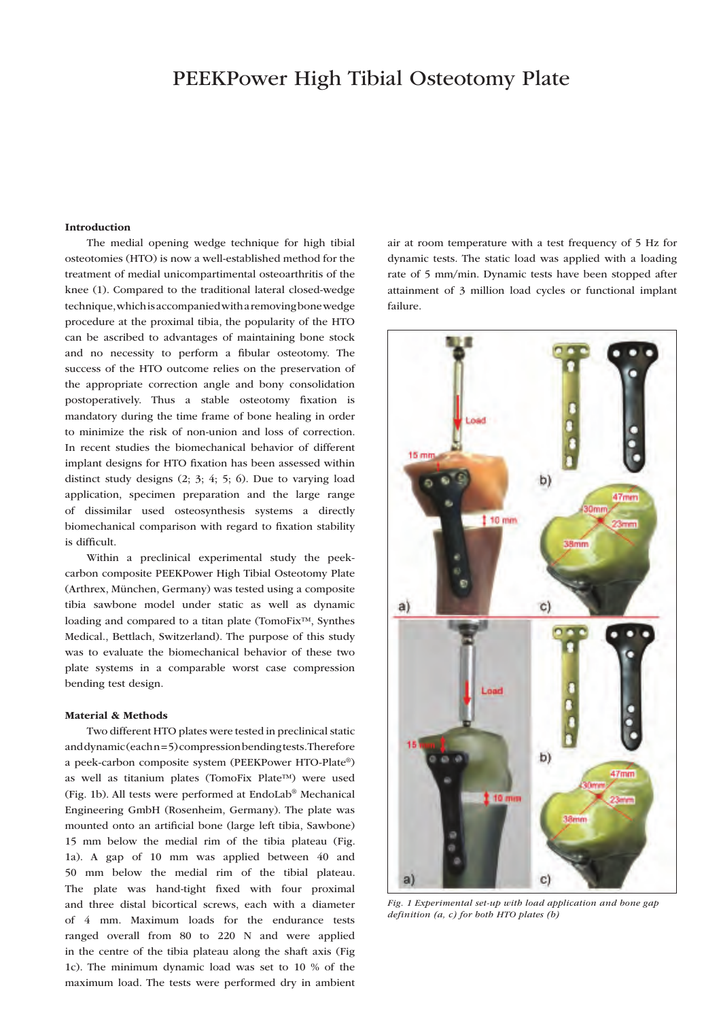# PEEKPower High Tibial Osteotomy Plate

#### Introduction

The medial opening wedge technique for high tibial osteotomies (HTO) is now a well-established method for the treatment of medial unicompartimental osteoarthritis of the knee (1). Compared to the traditional lateral closed-wedge technique, which is accompanied with a removing bone wedge procedure at the proximal tibia, the popularity of the HTO can be ascribed to advantages of maintaining bone stock and no necessity to perform a fibular osteotomy. The success of the HTO outcome relies on the preservation of the appropriate correction angle and bony consolidation postoperatively. Thus a stable osteotomy fixation is mandatory during the time frame of bone healing in order to minimize the risk of non-union and loss of correction. In recent studies the biomechanical behavior of different implant designs for HTO fixation has been assessed within distinct study designs (2; 3; 4; 5; 6). Due to varying load application, specimen preparation and the large range of dissimilar used osteosynthesis systems a directly biomechanical comparison with regard to fixation stability is difficult.

Within a preclinical experimental study the peekcarbon composite PEEKPower High Tibial Osteotomy Plate (Arthrex, München, Germany) was tested using a composite tibia sawbone model under static as well as dynamic loading and compared to a titan plate (TomoFix™, Synthes Medical., Bettlach, Switzerland). The purpose of this study was to evaluate the biomechanical behavior of these two plate systems in a comparable worst case compression bending test design.

### Material & Methods

Two different HTO plates were tested in preclinical static and dynamic (each n = 5) compression bending tests. Therefore a peek-carbon composite system (PEEKPower HTO-Plate®) as well as titanium plates (TomoFix Plate™) were used (Fig. 1b). All tests were performed at EndoLab® Mechanical Engineering GmbH (Rosenheim, Germany). The plate was mounted onto an artificial bone (large left tibia, Sawbone) 15 mm below the medial rim of the tibia plateau (Fig. 1a). A gap of 10 mm was applied between 40 and 50 mm below the medial rim of the tibial plateau. The plate was hand-tight fixed with four proximal and three distal bicortical screws, each with a diameter of 4 mm. Maximum loads for the endurance tests ranged overall from 80 to 220 N and were applied in the centre of the tibia plateau along the shaft axis (Fig 1c). The minimum dynamic load was set to 10 % of the maximum load. The tests were performed dry in ambient air at room temperature with a test frequency of 5 Hz for dynamic tests. The static load was applied with a loading rate of 5 mm/min. Dynamic tests have been stopped after attainment of 3 million load cycles or functional implant failure.



*Fig. 1 Experimental set-up with load application and bone gap definition (a, c) for both HTO plates (b)*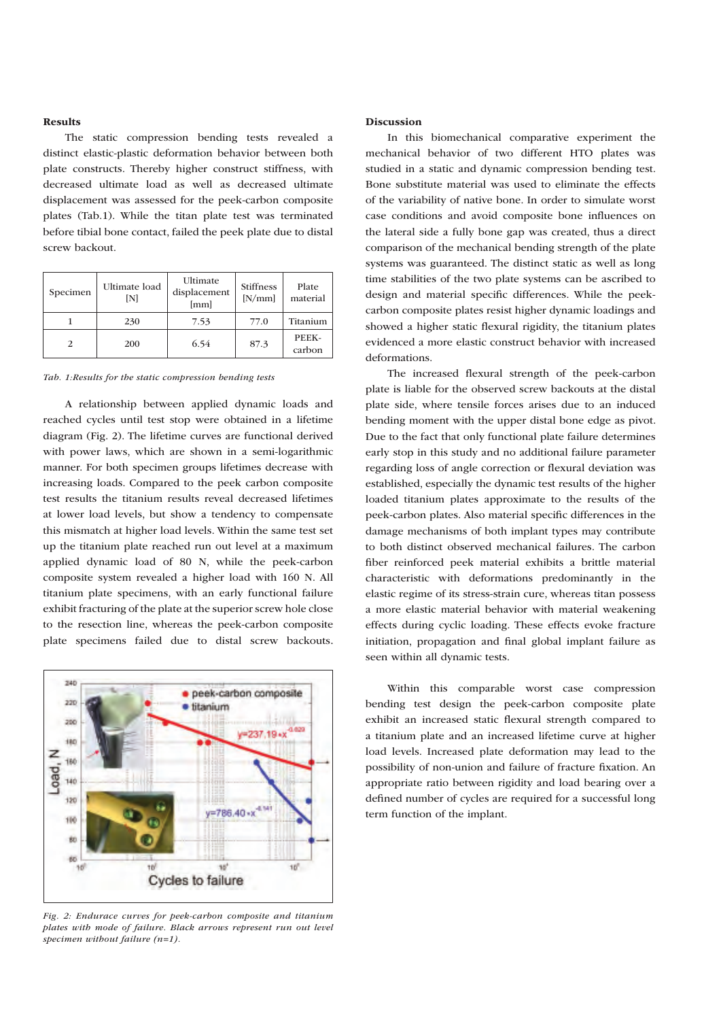#### Results

The static compression bending tests revealed a distinct elastic-plastic deformation behavior between both plate constructs. Thereby higher construct stiffness, with decreased ultimate load as well as decreased ultimate displacement was assessed for the peek-carbon composite plates (Tab.1). While the titan plate test was terminated before tibial bone contact, failed the peek plate due to distal screw backout.

| Specimen       | Ultimate load<br>ſΝ | Ultimate<br>displacement<br>[mm] | <b>Stiffness</b><br>[N/mm] | Plate<br>material |
|----------------|---------------------|----------------------------------|----------------------------|-------------------|
|                | 230                 | 7.53                             | 77.0                       | Titanium          |
| $\mathfrak{D}$ | 200                 | 6.54                             | 87.3                       | PEEK-<br>carbon   |

*Tab. 1:Results for the static compression bending tests*

A relationship between applied dynamic loads and reached cycles until test stop were obtained in a lifetime diagram (Fig. 2). The lifetime curves are functional derived with power laws, which are shown in a semi-logarithmic manner. For both specimen groups lifetimes decrease with increasing loads. Compared to the peek carbon composite test results the titanium results reveal decreased lifetimes at lower load levels, but show a tendency to compensate this mismatch at higher load levels. Within the same test set up the titanium plate reached run out level at a maximum applied dynamic load of 80 N, while the peek-carbon composite system revealed a higher load with 160 N. All titanium plate specimens, with an early functional failure exhibit fracturing of the plate at the superior screw hole close to the resection line, whereas the peek-carbon composite plate specimens failed due to distal screw backouts.



*Fig. 2: Endurace curves for peek-carbon composite and titanium plates with mode of failure. Black arrows represent run out level specimen without failure (n=1).*

#### Discussion

In this biomechanical comparative experiment the mechanical behavior of two different HTO plates was studied in a static and dynamic compression bending test. Bone substitute material was used to eliminate the effects of the variability of native bone. In order to simulate worst case conditions and avoid composite bone influences on the lateral side a fully bone gap was created, thus a direct comparison of the mechanical bending strength of the plate systems was guaranteed. The distinct static as well as long time stabilities of the two plate systems can be ascribed to design and material specific differences. While the peekcarbon composite plates resist higher dynamic loadings and showed a higher static flexural rigidity, the titanium plates evidenced a more elastic construct behavior with increased deformations.

The increased flexural strength of the peek-carbon plate is liable for the observed screw backouts at the distal plate side, where tensile forces arises due to an induced bending moment with the upper distal bone edge as pivot. Due to the fact that only functional plate failure determines early stop in this study and no additional failure parameter regarding loss of angle correction or flexural deviation was established, especially the dynamic test results of the higher loaded titanium plates approximate to the results of the peek-carbon plates. Also material specific differences in the damage mechanisms of both implant types may contribute to both distinct observed mechanical failures. The carbon fiber reinforced peek material exhibits a brittle material characteristic with deformations predominantly in the elastic regime of its stress-strain cure, whereas titan possess a more elastic material behavior with material weakening effects during cyclic loading. These effects evoke fracture initiation, propagation and final global implant failure as seen within all dynamic tests.

Within this comparable worst case compression bending test design the peek-carbon composite plate exhibit an increased static flexural strength compared to a titanium plate and an increased lifetime curve at higher load levels. Increased plate deformation may lead to the possibility of non-union and failure of fracture fixation. An appropriate ratio between rigidity and load bearing over a defined number of cycles are required for a successful long term function of the implant.